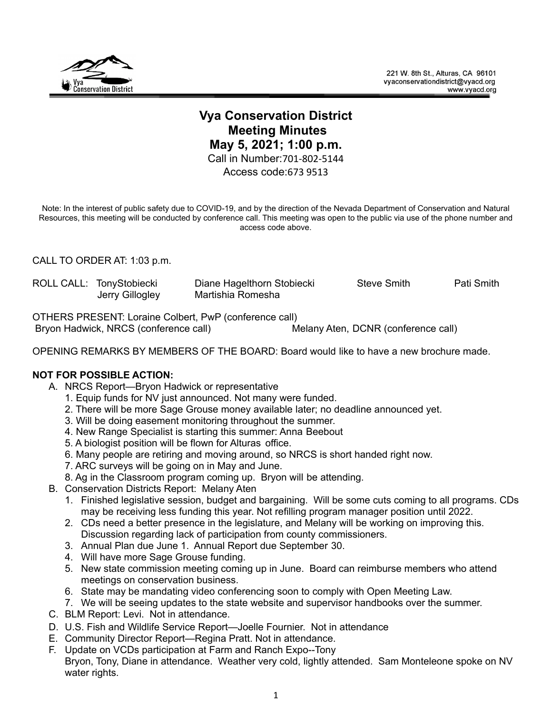

## **Vya Conservation District Meeting Minutes May 5, 2021; 1:00 p.m.** Call in Number:701-802-5144 Access code:673 9513

Note: In the interest of public safety due to COVID-19, and by the direction of the Nevada Department of Conservation and Natural Resources, this meeting will be conducted by conference call. This meeting was open to the public via use of the phone number and access code above.

CALL TO ORDER AT: 1:03 p.m.

|  | ROLL CALL: TonyStobiecki | Diane Hagelthorn Stobiecki | <b>Steve Smith</b> | Pati Smith |
|--|--------------------------|----------------------------|--------------------|------------|
|  | Jerry Gillogley          | Martishia Romesha          |                    |            |

OTHERS PRESENT: Loraine Colbert, PwP (conference call) Bryon Hadwick, NRCS (conference call) Melany Aten, DCNR (conference call)

OPENING REMARKS BY MEMBERS OF THE BOARD: Board would like to have a new brochure made.

## **NOT FOR POSSIBLE ACTION:**

- A. NRCS Report—Bryon Hadwick or representative
	- 1. Equip funds for NV just announced. Not many were funded.
	- 2. There will be more Sage Grouse money available later; no deadline announced yet.
	- 3. Will be doing easement monitoring throughout the summer.
	- 4. New Range Specialist is starting this summer: Anna Beebout
	- 5. A biologist position will be flown for Alturas office.
	- 6. Many people are retiring and moving around, so NRCS is short handed right now.
	- 7. ARC surveys will be going on in May and June.
	- 8. Ag in the Classroom program coming up. Bryon will be attending.
- B. Conservation Districts Report: Melany Aten
	- 1. Finished legislative session, budget and bargaining. Will be some cuts coming to all programs. CDs may be receiving less funding this year. Not refilling program manager position until 2022.
	- 2. CDs need a better presence in the legislature, and Melany will be working on improving this. Discussion regarding lack of participation from county commissioners.
	- 3. Annual Plan due June 1. Annual Report due September 30.
	- 4. Will have more Sage Grouse funding.
	- 5. New state commission meeting coming up in June. Board can reimburse members who attend meetings on conservation business.
	- 6. State may be mandating video conferencing soon to comply with Open Meeting Law.
	- 7. We will be seeing updates to the state website and supervisor handbooks over the summer.
- C. BLM Report: Levi. Not in attendance.
- D. U.S. Fish and Wildlife Service Report—Joelle Fournier. Not in attendance
- E. Community Director Report—Regina Pratt. Not in attendance.
- F. Update on VCDs participation at Farm and Ranch Expo--Tony Bryon, Tony, Diane in attendance. Weather very cold, lightly attended. Sam Monteleone spoke on NV water rights.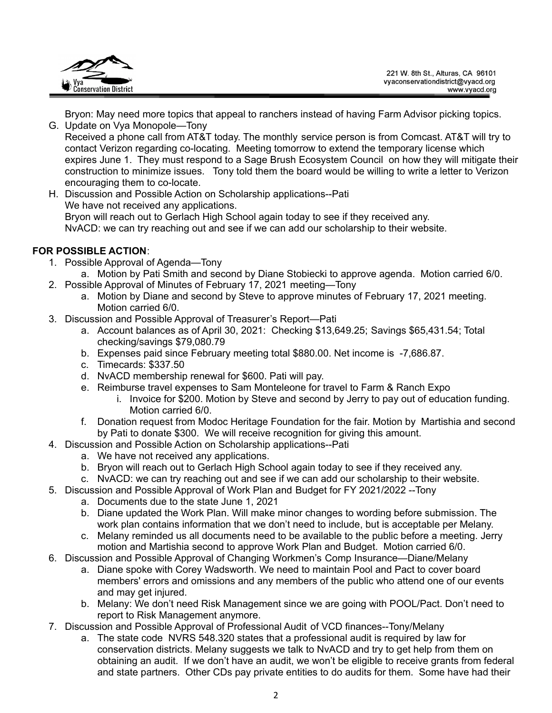

Bryon: May need more topics that appeal to ranchers instead of having Farm Advisor picking topics.

- G. Update on Vya Monopole—Tony Received a phone call from AT&T today. The monthly service person is from Comcast. AT&T will try to contact Verizon regarding co-locating. Meeting tomorrow to extend the temporary license which expires June 1. They must respond to a Sage Brush Ecosystem Council on how they will mitigate their construction to minimize issues. Tony told them the board would be willing to write a letter to Verizon encouraging them to co-locate.
- H. Discussion and Possible Action on Scholarship applications--Pati We have not received any applications. Bryon will reach out to Gerlach High School again today to see if they received any. NvACD: we can try reaching out and see if we can add our scholarship to their website.

## **FOR POSSIBLE ACTION**:

- 1. Possible Approval of Agenda—Tony
	- a. Motion by Pati Smith and second by Diane Stobiecki to approve agenda. Motion carried 6/0.
- 2. Possible Approval of Minutes of February 17, 2021 meeting—Tony
	- a. Motion by Diane and second by Steve to approve minutes of February 17, 2021 meeting. Motion carried 6/0.
- 3. Discussion and Possible Approval of Treasurer's Report—Pati
	- a. Account balances as of April 30, 2021: Checking \$13,649.25; Savings \$65,431.54; Total checking/savings \$79,080.79
	- b. Expenses paid since February meeting total \$880.00. Net income is -7,686.87.
	- c. Timecards: \$337.50
	- d. NvACD membership renewal for \$600. Pati will pay.
	- e. Reimburse travel expenses to Sam Monteleone for travel to Farm & Ranch Expo
		- i. Invoice for \$200. Motion by Steve and second by Jerry to pay out of education funding. Motion carried 6/0.
	- f. Donation request from Modoc Heritage Foundation for the fair. Motion by Martishia and second by Pati to donate \$300. We will receive recognition for giving this amount.
- 4. Discussion and Possible Action on Scholarship applications--Pati
	- a. We have not received any applications.
	- b. Bryon will reach out to Gerlach High School again today to see if they received any.
	- c. NvACD: we can try reaching out and see if we can add our scholarship to their website.
- 5. Discussion and Possible Approval of Work Plan and Budget for FY 2021/2022 --Tony
	- a. Documents due to the state June 1, 2021
	- b. Diane updated the Work Plan. Will make minor changes to wording before submission. The work plan contains information that we don't need to include, but is acceptable per Melany.
	- c. Melany reminded us all documents need to be available to the public before a meeting. Jerry motion and Martishia second to approve Work Plan and Budget. Motion carried 6/0.
- 6. Discussion and Possible Approval of Changing Workmen's Comp Insurance—Diane/Melany
	- a. Diane spoke with Corey Wadsworth. We need to maintain Pool and Pact to cover board members' errors and omissions and any members of the public who attend one of our events and may get injured.
	- b. Melany: We don't need Risk Management since we are going with POOL/Pact. Don't need to report to Risk Management anymore.
- 7. Discussion and Possible Approval of Professional Audit of VCD finances--Tony/Melany
	- a. The state code NVRS 548.320 states that a professional audit is required by law for conservation districts. Melany suggests we talk to NvACD and try to get help from them on obtaining an audit. If we don't have an audit, we won't be eligible to receive grants from federal and state partners. Other CDs pay private entities to do audits for them. Some have had their